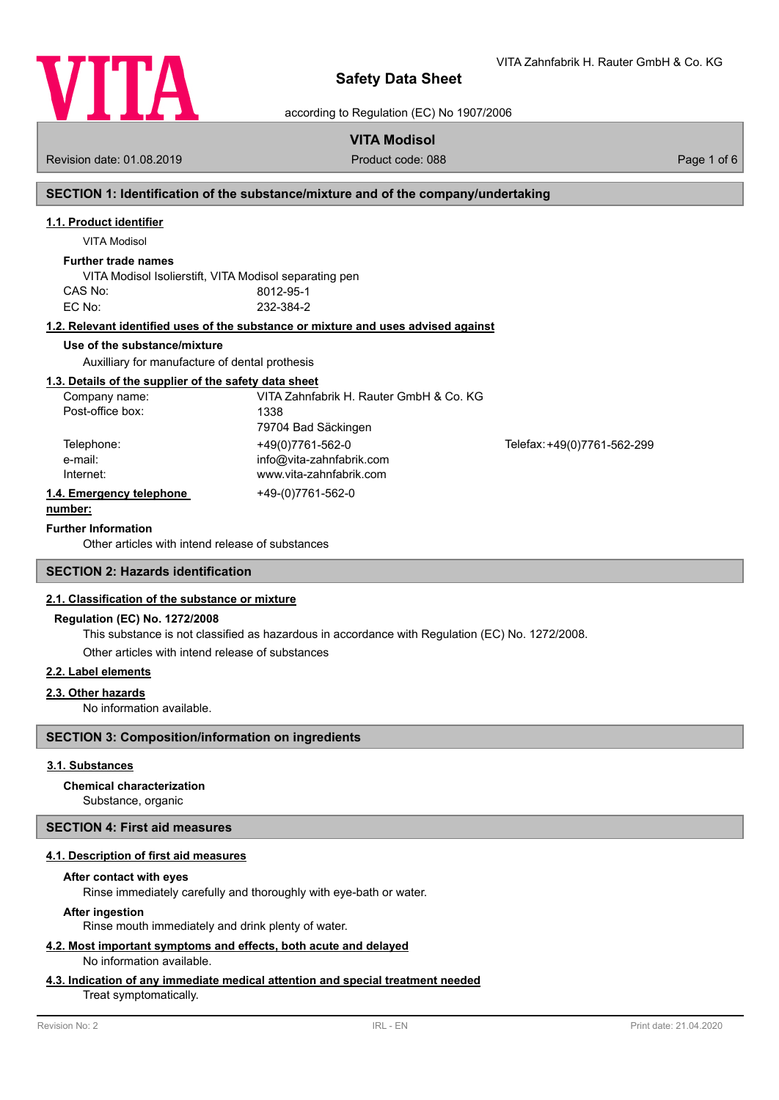

VITA Zahnfabrik H. Rauter GmbH & Co. KG

according to Regulation (EC) No 1907/2006

# **VITA Modisol**

Revision date: 01.08.2019 **Product code: 088** Page 1 of 6

# **SECTION 1: Identification of the substance/mixture and of the company/undertaking**

### **1.1. Product identifier**

VITA Modisol

### **Further trade names**

VITA Modisol Isolierstift, VITA Modisol separating pen CAS No: 8012-95-1 EC No: 232-384-2

### **1.2. Relevant identified uses of the substance or mixture and uses advised against**

### **Use of the substance/mixture**

Auxilliary for manufacture of dental prothesis

### **1.3. Details of the supplier of the safety data sheet**

| VITA Zahnfabrik H. Rauter GmbH & Co. KG<br>1338 |                             |
|-------------------------------------------------|-----------------------------|
| 79704 Bad Säckingen                             |                             |
| +49(0)7761-562-0                                | Telefax: +49(0)7761-562-299 |
| info@vita-zahnfabrik.com                        |                             |
| www.vita-zahnfabrik.com                         |                             |
| +49-(0)7761-562-0                               |                             |
|                                                 |                             |

### **Further Information**

Other articles with intend release [of substances](http://www.vita-zahnfabrik.com)

### **SECTION 2: Hazards identification**

### **2.1. Classification of the substance or mixture**

### **Regulation (EC) No. 1272/2008**

This substance is not classified as hazardous in accordance with Regulation (EC) No. 1272/2008.

Other articles with intend release of substances

### **2.2. Label elements**

### **2.3. Other hazards**

No information available.

### **SECTION 3: Composition/information on ingredients**

### **3.1. Substances**

### **Chemical characterization**

Substance, organic

### **SECTION 4: First aid measures**

### **4.1. Description of first aid measures**

### **After contact with eyes**

Rinse immediately carefully and thoroughly with eye-bath or water.

### **After ingestion**

Rinse mouth immediately and drink plenty of water.

#### **4.2. Most important symptoms and effects, both acute and delayed** No information available.

# **4.3. Indication of any immediate medical attention and special treatment needed**

Treat symptomatically.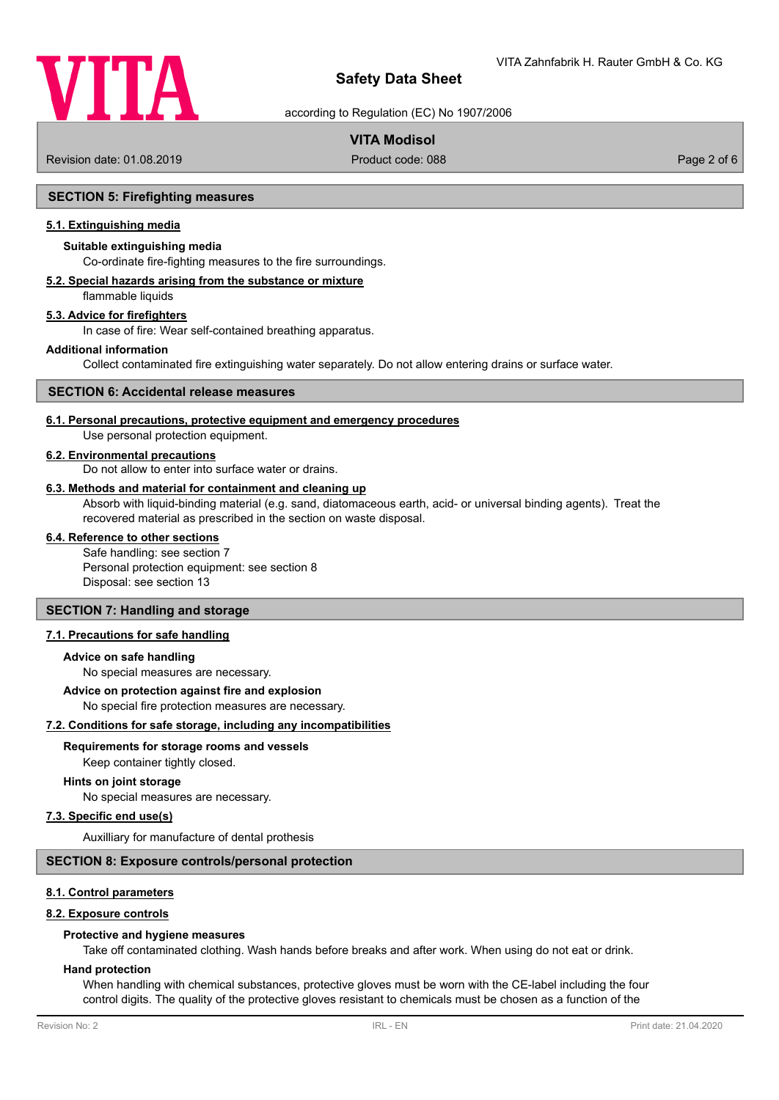

according to Regulation (EC) No 1907/2006

### **VITA Modisol**

Revision date: 01.08.2019 Product code: 088 Page 2 of 6

### **SECTION 5: Firefighting measures**

### **5.1. Extinguishing media**

### **Suitable extinguishing media**

Co-ordinate fire-fighting measures to the fire surroundings.

### **5.2. Special hazards arising from the substance or mixture**

flammable liquids

### **5.3. Advice for firefighters**

In case of fire: Wear self-contained breathing apparatus.

#### **Additional information**

Collect contaminated fire extinguishing water separately. Do not allow entering drains or surface water.

### **SECTION 6: Accidental release measures**

#### **6.1. Personal precautions, protective equipment and emergency procedures**

Use personal protection equipment.

#### **6.2. Environmental precautions**

Do not allow to enter into surface water or drains.

#### **6.3. Methods and material for containment and cleaning up**

Absorb with liquid-binding material (e.g. sand, diatomaceous earth, acid- or universal binding agents). Treat the recovered material as prescribed in the section on waste disposal.

#### **6.4. Reference to other sections**

Safe handling: see section 7 Personal protection equipment: see section 8 Disposal: see section 13

### **SECTION 7: Handling and storage**

### **7.1. Precautions for safe handling**

### **Advice on safe handling**

No special measures are necessary.

#### **Advice on protection against fire and explosion**

No special fire protection measures are necessary.

### **7.2. Conditions for safe storage, including any incompatibilities**

### **Requirements for storage rooms and vessels**

Keep container tightly closed.

### **Hints on joint storage**

No special measures are necessary.

#### **7.3. Specific end use(s)**

Auxilliary for manufacture of dental prothesis

### **SECTION 8: Exposure controls/personal protection**

### **8.1. Control parameters**

### **8.2. Exposure controls**

#### **Protective and hygiene measures**

Take off contaminated clothing. Wash hands before breaks and after work. When using do not eat or drink.

### **Hand protection**

When handling with chemical substances, protective gloves must be worn with the CE-label including the four control digits. The quality of the protective gloves resistant to chemicals must be chosen as a function of the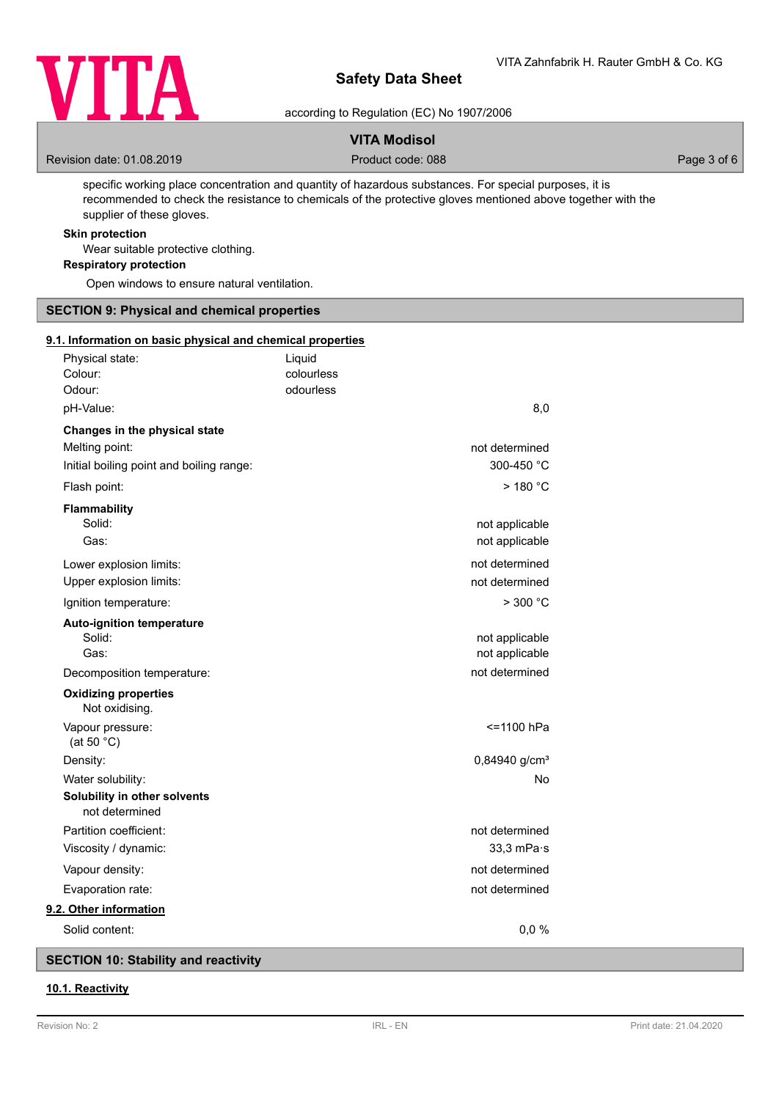

according to Regulation (EC) No 1907/2006

### **VITA Modisol**

Revision date: 01.08.2019 **Product code: 088** Product code: 088 Page 3 of 6

specific working place concentration and quantity of hazardous substances. For special purposes, it is recommended to check the resistance to chemicals of the protective gloves mentioned above together with the supplier of these gloves.

### **Skin protection**

Wear suitable protective clothing.

**Respiratory protection**

Open windows to ensure natural ventilation.

### **SECTION 9: Physical and chemical properties**

#### **9.1. Information on basic physical and chemical properties**

| Physical state:<br>Colour:<br>Odour:                                                        | Liquid<br>colourless<br>odourless |                                  |
|---------------------------------------------------------------------------------------------|-----------------------------------|----------------------------------|
| pH-Value:                                                                                   |                                   | 8,0                              |
| Changes in the physical state<br>Melting point:<br>Initial boiling point and boiling range: |                                   | not determined<br>300-450 °C     |
| Flash point:                                                                                |                                   | $>$ 180 $^{\circ}$ C             |
| Flammability<br>Solid:<br>Gas:                                                              |                                   | not applicable<br>not applicable |
| Lower explosion limits:<br>Upper explosion limits:                                          |                                   | not determined<br>not determined |
| Ignition temperature:                                                                       |                                   | $>$ 300 °C                       |
| <b>Auto-ignition temperature</b><br>Solid:<br>Gas:                                          |                                   | not applicable<br>not applicable |
| Decomposition temperature:                                                                  |                                   | not determined                   |
| <b>Oxidizing properties</b><br>Not oxidising.                                               |                                   |                                  |
| Vapour pressure:<br>(at 50 $°C$ )                                                           |                                   | <=1100 hPa                       |
| Density:                                                                                    |                                   | 0,84940 g/cm <sup>3</sup>        |
| Water solubility:                                                                           |                                   | No                               |
| Solubility in other solvents<br>not determined                                              |                                   |                                  |
| Partition coefficient:                                                                      |                                   | not determined                   |
| Viscosity / dynamic:                                                                        |                                   | $33,3$ mPa $\cdot$ s             |
| Vapour density:                                                                             |                                   | not determined                   |
| Evaporation rate:                                                                           |                                   | not determined                   |
| 9.2. Other information                                                                      |                                   |                                  |
| Solid content:                                                                              |                                   | 0,0%                             |

**SECTION 10: Stability and reactivity**

### **10.1. Reactivity**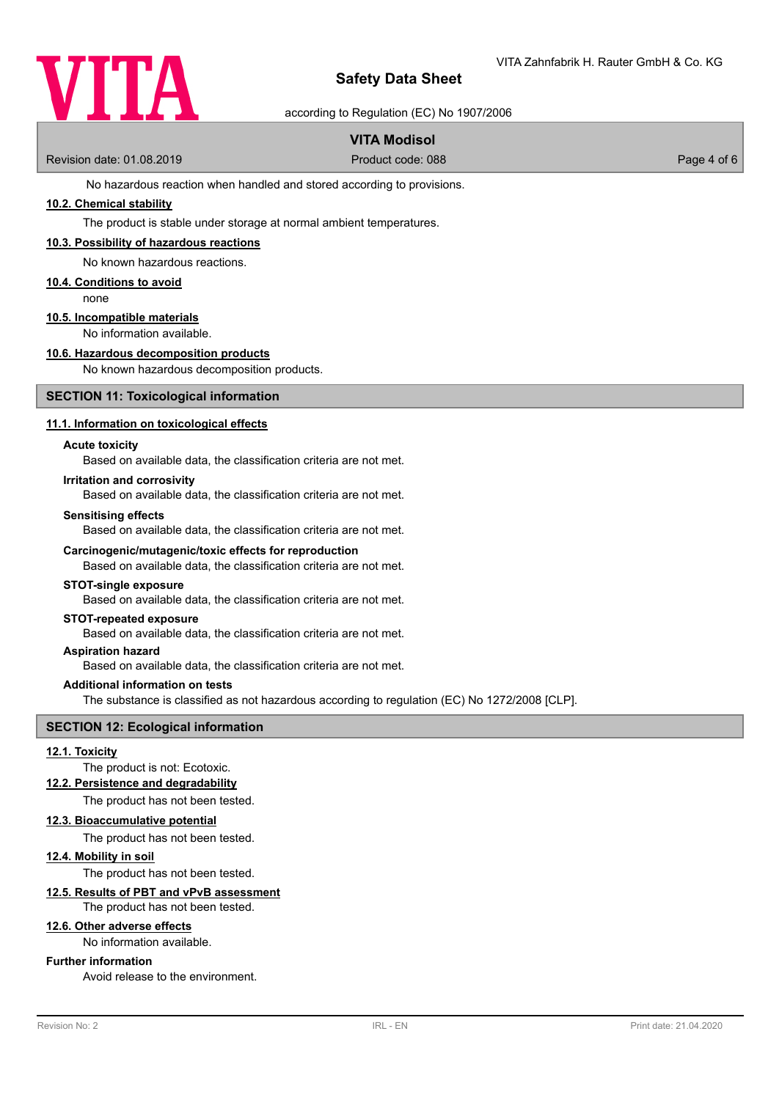

according to Regulation (EC) No 1907/2006

# **VITA Modisol**

Revision date: 01.08.2019 **Product code: 088** Product code: 088 Page 4 of 6

No hazardous reaction when handled and stored according to provisions.

### **10.2. Chemical stability**

The product is stable under storage at normal ambient temperatures.

### **10.3. Possibility of hazardous reactions**

No known hazardous reactions.

#### **10.4. Conditions to avoid**

none

### **10.5. Incompatible materials**

No information available.

#### **10.6. Hazardous decomposition products**

No known hazardous decomposition products.

### **SECTION 11: Toxicological information**

### **11.1. Information on toxicological effects**

#### **Acute toxicity**

Based on available data, the classification criteria are not met.

#### **Irritation and corrosivity**

Based on available data, the classification criteria are not met.

#### **Sensitising effects**

Based on available data, the classification criteria are not met.

#### **Carcinogenic/mutagenic/toxic effects for reproduction**

Based on available data, the classification criteria are not met.

#### **STOT-single exposure**

Based on available data, the classification criteria are not met.

### **STOT-repeated exposure**

Based on available data, the classification criteria are not met.

#### **Aspiration hazard**

Based on available data, the classification criteria are not met.

#### **Additional information on tests**

The substance is classified as not hazardous according to regulation (EC) No 1272/2008 [CLP].

# **SECTION 12: Ecological information**

### **12.1. Toxicity**

The product is not: Ecotoxic.

### **12.2. Persistence and degradability**

The product has not been tested.

### **12.3. Bioaccumulative potential** The product has not been tested.

# **12.4. Mobility in soil**

The product has not been tested.

### **12.5. Results of PBT and vPvB assessment**

The product has not been tested.

### **12.6. Other adverse effects**

No information available.

### **Further information**

Avoid release to the environment.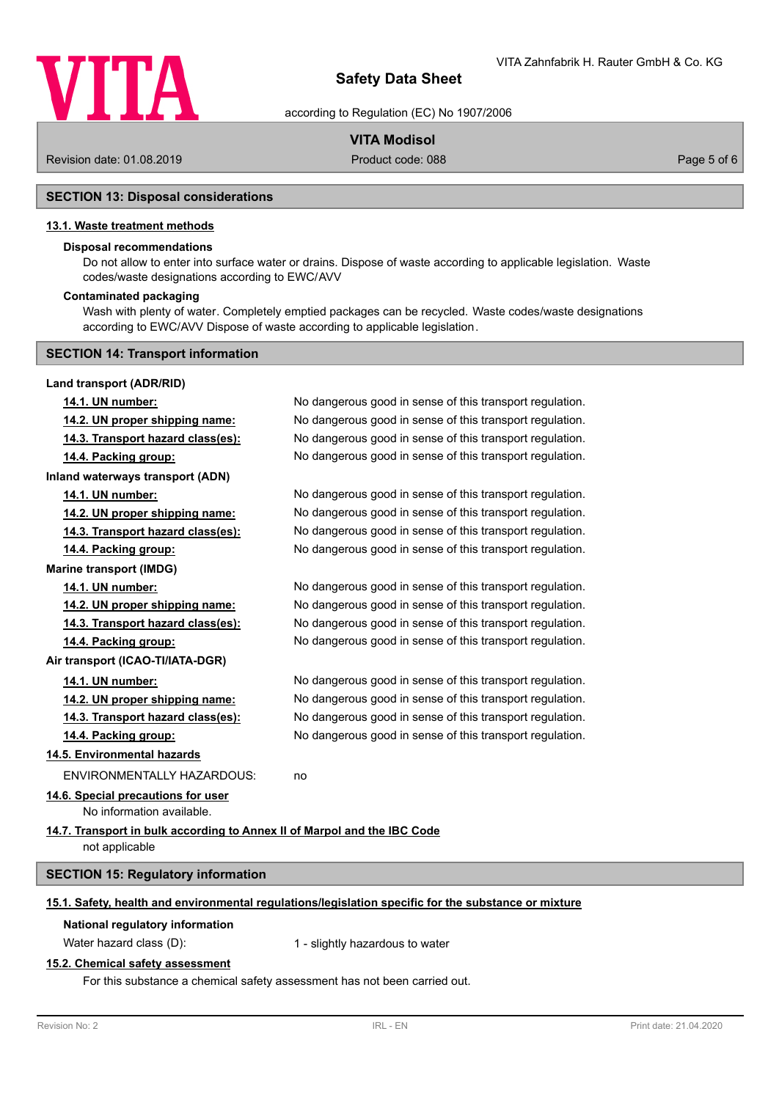

according to Regulation (EC) No 1907/2006

### **VITA Modisol**

Revision date: 01.08.2019 Product code: 088 Page 5 of 6

### **SECTION 13: Disposal considerations**

### **13.1. Waste treatment methods**

### **Disposal recommendations**

Do not allow to enter into surface water or drains. Dispose of waste according to applicable legislation. Waste codes/waste designations according to EWC/AVV

#### **Contaminated packaging**

Wash with plenty of water. Completely emptied packages can be recycled. Waste codes/waste designations according to EWC/AVV Dispose of waste according to applicable legislation.

#### **SECTION 14: Transport information**

| Land transport (ADR/RID)                                                                             |                                                          |  |
|------------------------------------------------------------------------------------------------------|----------------------------------------------------------|--|
| 14.1. UN number:                                                                                     | No dangerous good in sense of this transport regulation. |  |
| 14.2. UN proper shipping name:                                                                       | No dangerous good in sense of this transport regulation. |  |
| 14.3. Transport hazard class(es):                                                                    | No dangerous good in sense of this transport regulation. |  |
| 14.4. Packing group:                                                                                 | No dangerous good in sense of this transport regulation. |  |
| Inland waterways transport (ADN)                                                                     |                                                          |  |
| 14.1. UN number:                                                                                     | No dangerous good in sense of this transport regulation. |  |
| 14.2. UN proper shipping name:                                                                       | No dangerous good in sense of this transport regulation. |  |
| 14.3. Transport hazard class(es):                                                                    | No dangerous good in sense of this transport regulation. |  |
| 14.4. Packing group:                                                                                 | No dangerous good in sense of this transport regulation. |  |
| <b>Marine transport (IMDG)</b>                                                                       |                                                          |  |
| 14.1. UN number:                                                                                     | No dangerous good in sense of this transport regulation. |  |
| 14.2. UN proper shipping name:                                                                       | No dangerous good in sense of this transport regulation. |  |
| 14.3. Transport hazard class(es):                                                                    | No dangerous good in sense of this transport regulation. |  |
| 14.4. Packing group:                                                                                 | No dangerous good in sense of this transport regulation. |  |
| Air transport (ICAO-TI/IATA-DGR)                                                                     |                                                          |  |
| 14.1. UN number:                                                                                     | No dangerous good in sense of this transport regulation. |  |
| 14.2. UN proper shipping name:                                                                       | No dangerous good in sense of this transport regulation. |  |
| 14.3. Transport hazard class(es):                                                                    | No dangerous good in sense of this transport regulation. |  |
| 14.4. Packing group:                                                                                 | No dangerous good in sense of this transport regulation. |  |
| 14.5. Environmental hazards                                                                          |                                                          |  |
| <b>ENVIRONMENTALLY HAZARDOUS:</b>                                                                    | no                                                       |  |
| 14.6. Special precautions for user                                                                   |                                                          |  |
| No information available.                                                                            |                                                          |  |
| 14.7. Transport in bulk according to Annex II of Marpol and the IBC Code<br>not applicable           |                                                          |  |
|                                                                                                      |                                                          |  |
| <b>SECTION 15: Regulatory information</b>                                                            |                                                          |  |
| 15.1. Safety, health and environmental regulations/legislation specific for the substance or mixture |                                                          |  |
| National regulatory information                                                                      |                                                          |  |
| Water hazard class (D):                                                                              | 1 - slightly hazardous to water                          |  |
| 15.2. Chamical esfaty secocement                                                                     |                                                          |  |

### **15.2. Chemical safety assessment**

For this substance a chemical safety assessment has not been carried out.